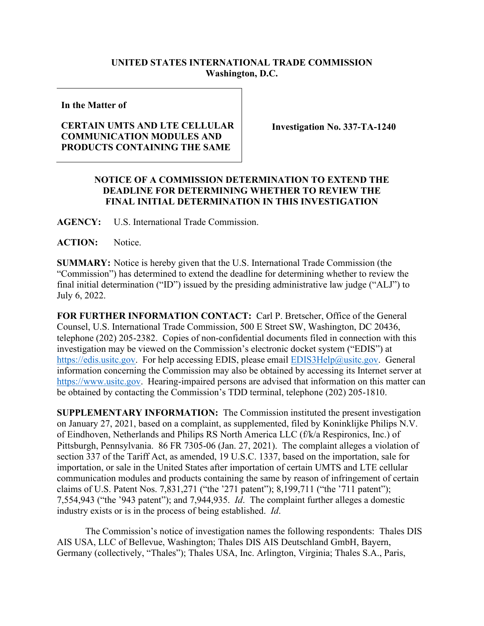## **UNITED STATES INTERNATIONAL TRADE COMMISSION Washington, D.C.**

**In the Matter of**

## **CERTAIN UMTS AND LTE CELLULAR COMMUNICATION MODULES AND PRODUCTS CONTAINING THE SAME**

**Investigation No. 337-TA-1240** 

## **NOTICE OF A COMMISSION DETERMINATION TO EXTEND THE DEADLINE FOR DETERMINING WHETHER TO REVIEW THE FINAL INITIAL DETERMINATION IN THIS INVESTIGATION**

**AGENCY:** U.S. International Trade Commission.

**ACTION:** Notice.

**SUMMARY:** Notice is hereby given that the U.S. International Trade Commission (the "Commission") has determined to extend the deadline for determining whether to review the final initial determination ("ID") issued by the presiding administrative law judge ("ALJ") to July 6, 2022.

**FOR FURTHER INFORMATION CONTACT:** Carl P. Bretscher, Office of the General Counsel, U.S. International Trade Commission, 500 E Street SW, Washington, DC 20436, telephone (202) 205-2382. Copies of non-confidential documents filed in connection with this investigation may be viewed on the Commission's electronic docket system ("EDIS") at [https://edis.usitc.gov.](https://edis.usitc.gov/) For help accessing EDIS, please email **EDIS3Help@usitc.gov**. General information concerning the Commission may also be obtained by accessing its Internet server at [https://www.usitc.gov.](https://www.usitc.gov/) Hearing-impaired persons are advised that information on this matter can be obtained by contacting the Commission's TDD terminal, telephone (202) 205-1810.

**SUPPLEMENTARY INFORMATION:** The Commission instituted the present investigation on January 27, 2021, based on a complaint, as supplemented, filed by Koninklijke Philips N.V. of Eindhoven, Netherlands and Philips RS North America LLC (f/k/a Respironics, Inc.) of Pittsburgh, Pennsylvania. 86 FR 7305-06 (Jan. 27, 2021). The complaint alleges a violation of section 337 of the Tariff Act, as amended, 19 U.S.C. 1337, based on the importation, sale for importation, or sale in the United States after importation of certain UMTS and LTE cellular communication modules and products containing the same by reason of infringement of certain claims of U.S. Patent Nos. 7,831,271 ("the '271 patent"); 8,199,711 ("the '711 patent"); 7,554,943 ("the '943 patent"); and 7,944,935. *Id*. The complaint further alleges a domestic industry exists or is in the process of being established. *Id*.

The Commission's notice of investigation names the following respondents: Thales DIS AIS USA, LLC of Bellevue, Washington; Thales DIS AIS Deutschland GmbH, Bayern, Germany (collectively, "Thales"); Thales USA, Inc. Arlington, Virginia; Thales S.A., Paris,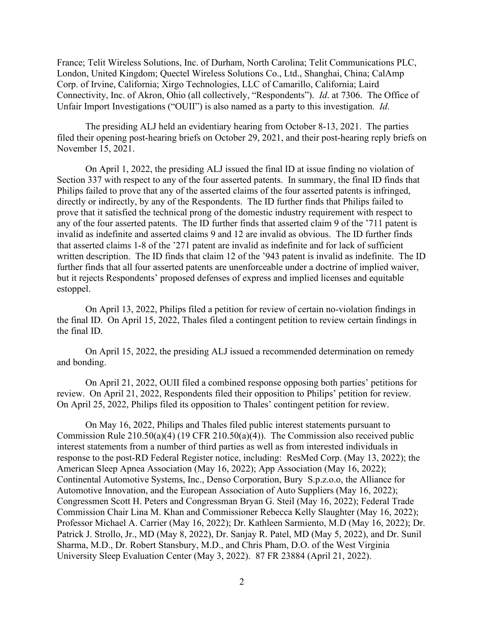France; Telit Wireless Solutions, Inc. of Durham, North Carolina; Telit Communications PLC, London, United Kingdom; Quectel Wireless Solutions Co., Ltd., Shanghai, China; CalAmp Corp. of Irvine, California; Xirgo Technologies, LLC of Camarillo, California; Laird Connectivity, Inc. of Akron, Ohio (all collectively, "Respondents"). *Id*. at 7306. The Office of Unfair Import Investigations ("OUII") is also named as a party to this investigation. *Id*.

The presiding ALJ held an evidentiary hearing from October 8-13, 2021. The parties filed their opening post-hearing briefs on October 29, 2021, and their post-hearing reply briefs on November 15, 2021.

On April 1, 2022, the presiding ALJ issued the final ID at issue finding no violation of Section 337 with respect to any of the four asserted patents. In summary, the final ID finds that Philips failed to prove that any of the asserted claims of the four asserted patents is infringed, directly or indirectly, by any of the Respondents. The ID further finds that Philips failed to prove that it satisfied the technical prong of the domestic industry requirement with respect to any of the four asserted patents. The ID further finds that asserted claim 9 of the '711 patent is invalid as indefinite and asserted claims 9 and 12 are invalid as obvious. The ID further finds that asserted claims 1-8 of the '271 patent are invalid as indefinite and for lack of sufficient written description. The ID finds that claim 12 of the '943 patent is invalid as indefinite. The ID further finds that all four asserted patents are unenforceable under a doctrine of implied waiver, but it rejects Respondents' proposed defenses of express and implied licenses and equitable estoppel.

On April 13, 2022, Philips filed a petition for review of certain no-violation findings in the final ID. On April 15, 2022, Thales filed a contingent petition to review certain findings in the final ID.

On April 15, 2022, the presiding ALJ issued a recommended determination on remedy and bonding.

On April 21, 2022, OUII filed a combined response opposing both parties' petitions for review. On April 21, 2022, Respondents filed their opposition to Philips' petition for review. On April 25, 2022, Philips filed its opposition to Thales' contingent petition for review.

On May 16, 2022, Philips and Thales filed public interest statements pursuant to Commission Rule 210.50(a)(4) (19 CFR 210.50(a)(4)). The Commission also received public interest statements from a number of third parties as well as from interested individuals in response to the post-RD Federal Register notice, including: ResMed Corp. (May 13, 2022); the American Sleep Apnea Association (May 16, 2022); App Association (May 16, 2022); Continental Automotive Systems, Inc., Denso Corporation, Bury S.p.z.o.o, the Alliance for Automotive Innovation, and the European Association of Auto Suppliers (May 16, 2022); Congressmen Scott H. Peters and Congressman Bryan G. Steil (May 16, 2022); Federal Trade Commission Chair Lina M. Khan and Commissioner Rebecca Kelly Slaughter (May 16, 2022); Professor Michael A. Carrier (May 16, 2022); Dr. Kathleen Sarmiento, M.D (May 16, 2022); Dr. Patrick J. Strollo, Jr., MD (May 8, 2022), Dr. Sanjay R. Patel, MD (May 5, 2022), and Dr. Sunil Sharma, M.D., Dr. Robert Stansbury, M.D., and Chris Pham, D.O. of the West Virginia University Sleep Evaluation Center (May 3, 2022). 87 FR 23884 (April 21, 2022).